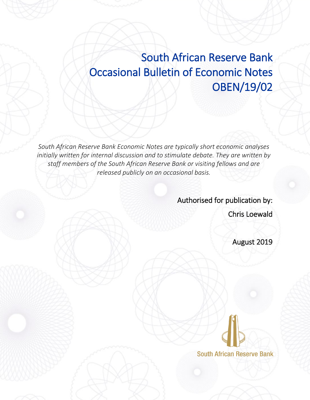# South African Reserve Bank Occasional Bulletin of Economic Notes OBEN/19/02

*South African Reserve Bank Economic Notes are typically short economic analyses initially written for internal discussion and to stimulate debate. They are written by staff members of the South African Reserve Bank or visiting fellows and are released publicly on an occasional basis.*

> Authorised for publication by: Chris Loewald

> > August 2019

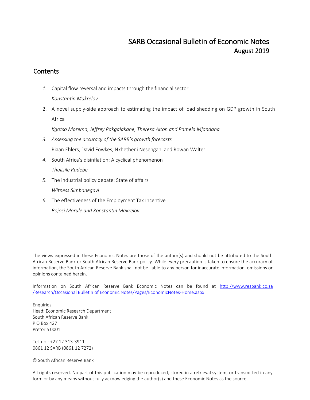## SARB Occasional Bulletin of Economic Notes August 2019

## **Contents**

- *1.* Capital flow reversal and impacts through the financial sector *Konstantin Makrelov*
- 2. A novel supply-side approach to estimating the impact of load shedding on GDP growth in South Africa

*Kgotso Morema, Jeffrey Rakgalakane, Theresa Alton and Pamela Mjandana*

- *3. Assessing the accuracy of the SARB's growth forecasts* Riaan Ehlers, David Fowkes, Nkhetheni Nesengani and Rowan Walter
- *4.* South Africa's disinflation: A cyclical phenomenon *Thulisile Radebe*
- *5.* The industrial policy debate: State of affairs *Witness Simbanegavi*
- *6.* The effectiveness of the Employment Tax Incentive

*Bojosi Morule and Konstantin Makrelov*

The views expressed in these Economic Notes are those of the author(s) and should not be attributed to the South African Reserve Bank or South African Reserve Bank policy. While every precaution is taken to ensure the accuracy of information, the South African Reserve Bank shall not be liable to any person for inaccurate information, omissions or opinions contained herein.

Information on South African Reserve Bank Economic Notes can be found at http://www.resbank.co.za /Research/Occasional Bulletin of Economic Notes/Pages/EconomicNotes-Home.aspx

Enquiries Head: Economic Research Department South African Reserve Bank P O Box 427 Pretoria 0001

Tel. no.: +27 12 313-3911 0861 12 SARB (0861 12 7272)

© South African Reserve Bank

All rights reserved. No part of this publication may be reproduced, stored in a retrieval system, or transmitted in any form or by any means without fully acknowledging the author(s) and these Economic Notes as the source.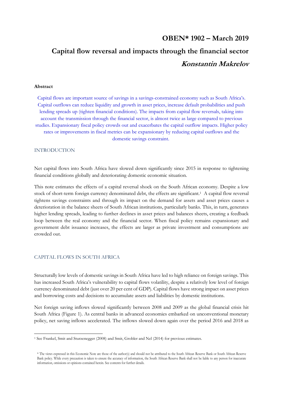## **OBEN\* 1902 – March 2019 Capital flow reversal and impacts through the financial sector Konstantin Makrelov**

## **Abstract**

Capital flows are important source of savings in a savings-constrained economy such as South Africa's. Capital outflows can reduce liquidity and growth in asset prices, increase default probabilities and push lending spreads up (tighten financial conditions). The impacts from capital flow reversals, taking into account the transmission through the financial sector, is almost twice as large compared to previous studies. Expansionary fiscal policy crowds out and exacerbates the capital outflow impacts. Higher policy rates or improvements in fiscal metrics can be expansionary by reducing capital outflows and the domestic savings constraint.

## INTRODUCTION

 $\overline{a}$ 

Net capital flows into South Africa have slowed down significantly since 2015 in response to tightening financial conditions globally and deteriorating domestic economic situation.

This note estimates the effects of a capital reversal shock on the South African economy. Despite a low stock of short-term foreign currency denominated debt, the effects are significant.<sup>1</sup> A capital flow reversal tightens savings constraints and through its impact on the demand for assets and asset prices causes a deterioration in the balance sheets of South African institutions, particularly banks. This, in turn, generates higher lending spreads, leading to further declines in asset prices and balances sheets, creating a feedback loop between the real economy and the financial sector. When fiscal policy remains expansionary and government debt issuance increases, the effects are larger as private investment and consumptions are crowded out.

## CAPITAL FLOWS IN SOUTH AFRICA

Structurally low levels of domestic savings in South Africa have led to high reliance on foreign savings. This has increased South Africa's vulnerability to capital flows volatility, despite a relatively low level of foreign currency denominated debt (just over 20 per cent of GDP). Capital flows have strong impact on asset prices and borrowing costs and decisions to accumulate assets and liabilities by domestic institutions.

Net foreign saving inflows slowed significantly between 2008 and 2009 as the global financial crisis hit South Africa [\(Figure 1\)](#page-3-0). As central banks in advanced economies embarked on unconventional monetary policy, net saving inflows accelerated. The inflows slowed down again over the period 2016 and 2018 as

<sup>1</sup> See Frankel, Smit and Sturzenegger (2008) and Smit, Grobler and Nel (2014) for previous estimates.

<sup>\*</sup> The views expressed in this Economic Note are those of the author(s) and should not be attributed to the South African Reserve Bank or South African Reserve Bank policy. While every precaution is taken to ensure the accuracy of information, the South African Reserve Bank shall not be liable to any person for inaccurate information, omissions or opinions contained herein. See contents for further details.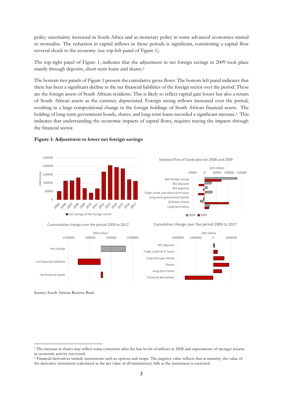policy uncertainty increased in South Africa and as monetary policy in some advanced economies started to normalise. The reduction in capital inflows in those periods is significant, constituting a capital flow reversal shock to the economy (see top-left panel of Figure 1).

The top-right panel of [Figure 1,](#page-3-0) indicates that the adjustment in net foreign savings in 2009 took place mainly through deposits, short-term loans and shares.<sup>2</sup>

The bottom two panels o[f Figure 1](#page-3-0) present the cumulative gross flows. The bottom left panel indicates that there has been a significant decline in the net financial liabilities of the foreign sector over the period. These are the foreign assets of South African residents. This is likely to reflect capital gain losses but also a return of South African assets as the currency depreciated. Foreign saving inflows increased over the period, resulting in a large compositional change in the foreign holdings of South African financial assets. The holding of long-term government bonds, shares, and long-term loans recorded a significant increase.<sup>3</sup> This indicates that understanding the economic impacts of capital flows, requires tracing the impacts through the financial sector.



## <span id="page-3-0"></span>**Figure 1: Adjustment to lower net foreign savings**

#### Selected flow of funds data for 2008 and 2009



Cummulative change over the period 2009 to 2017

net savings of the foreign sector

Cumulative change over the period 2009 to 2017

M2 deposits

Shares

-2000000 -1000000 0 1000000

ZAR million



Source: South African Reserve Bank

1

<sup>&</sup>lt;sup>2</sup> The increase in shares may reflect some correction after the low levels of inflows in 2008 and expectations of stronger returns as economic activity recovered.

<sup>3</sup> Financial derivatives include instruments such as options and swaps. The negative value reflects that at maturity, the value of the derivative instrument (calculated as the net value of all transactions) falls as the instrument is exercised.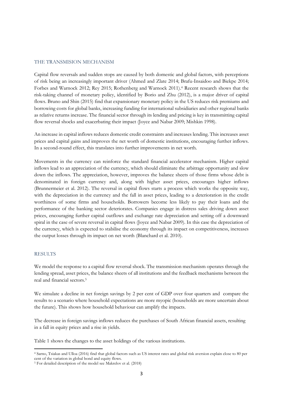## THE TRANSMISION MECHANISM

Capital flow reversals and sudden stops are caused by both domestic and global factors, with perceptions of risk being an increasingly important driver (Ahmed and Zlate 2014; Brafu-Insaidoo and Biekpe 2014; Forbes and Warnock 2012; Rey 2015; Rothenberg and Warnock 2011). <sup>4</sup> Recent research shows that the risk-taking channel of monetary policy, identified by Borio and Zhu (2012), is a major driver of capital flows. Bruno and Shin (2015) find that expansionary monetary policy in the US reduces risk premiums and borrowing costs for global banks, increasing funding for international subsidiaries and other regional banks as relative returns increase. The financial sector through its lending and pricing is key in transmitting capital flow reversal shocks and exacerbating their impact (Joyce and Nabar 2009; Mishkin 1998).

An increase in capital inflows reduces domestic credit constraints and increases lending. This increases asset prices and capital gains and improves the net worth of domestic institutions, encouraging further inflows. In a second-round effect, this translates into further improvements in net worth.

Movements in the currency can reinforce the standard financial accelerator mechanism. Higher capital inflows lead to an appreciation of the currency, which should eliminate the arbitrage opportunity and slow down the inflows. The appreciation, however, improves the balance sheets of those firms whose debt is denominated in foreign currency and, along with higher asset prices, encourages higher inflows (Brunnermeier et al. 2012). The reversal in capital flows starts a process which works the opposite way, with the depreciation in the currency and the fall in asset prices, leading to a deterioration in the credit worthiness of some firms and households. Borrowers become less likely to pay their loans and the performance of the banking sector deteriorates. Companies engage in distress sales driving down asset prices, encouraging further capital outflows and exchange rate depreciation and setting off a downward spiral in the case of severe reversal in capital flows (Joyce and Nabar 2009). In this case the depreciation of the currency, which is expected to stabilise the economy through its impact on competitiveness, increases the output losses through its impact on net worth (Blanchard et al. 2010).

## RESULTS

 $\overline{a}$ 

We model the response to a capital flow reversal shock. The transmission mechanism operates through the lending spread, asset prices, the balance sheets of all institutions and the feedback mechanisms between the real and financial sectors.<sup>5</sup>

We simulate a decline in net foreign savings by 2 per cent of GDP over four quarters and compare the results to a scenario where household expectations are more myopic (households are more uncertain about the future). This shows how household behaviour can amplify the impacts.

The decrease in foreign savings inflows reduces the purchases of South African financial assets, resulting in a fall in equity prices and a rise in yields.

Table 1 shows the changes to the asset holdings of the various institutions.

<sup>4</sup> Sarno, Tsiakas and Ulloa (2016) find that global factors such as US interest rates and global risk aversion explain close to 80 per cent of the variation in global bond and equity flows.

<sup>5</sup> For detailed description of the model see Makrelov et al. (2018)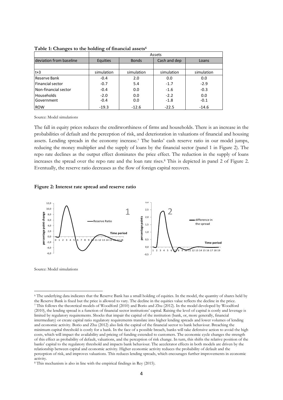|                         | Assets          |              |              |            |
|-------------------------|-----------------|--------------|--------------|------------|
| deviation from baseline | <b>Equities</b> | <b>Bonds</b> | Cash and dep | Loans      |
|                         |                 |              |              |            |
| $t+3$                   | simulation      | simulation   | simulation   | simulation |
| Reserve Bank            | $-0.4$          | 2.0          | 0.0          | 0.0        |
| <b>Financial sector</b> | $-0.7$          | 5.4          | $-1.7$       | $-2.9$     |
| Non-financial sector    | $-0.4$          | 0.0          | $-1.6$       | $-0.3$     |
| <b>Households</b>       | $-2.0$          | 0.0          | $-2.2$       | 0.0        |
| l Government            | $-0.4$          | 0.0          | $-1.8$       | $-0.1$     |
| <b>ROW</b>              | $-19.3$         | $-12.6$      | $-22.5$      | $-14.6$    |

**Table 1: Changes to the holding of financial assets<sup>6</sup>**

Source: Model simulations

The fall in equity prices reduces the creditworthiness of firms and households. There is an increase in the probabilities of default and the perception of risk, and deterioration in valuations of financial and housing assets. Lending spreads in the economy increase.<sup>7</sup> The banks' cash reserve ratio in our model jumps, reducing the money multiplier and the supply of loans by the financial sector (panel 1 in Figure 2). The repo rate declines as the output effect dominates the price effect. The reduction in the supply of loans increases the spread over the repo rate and the loan rate rises.<sup>8</sup> This is depicted in panel 2 of Figure 2. Eventually, the reserve ratio decreases as the flow of foreign capital recovers.

### **Figure 2: Interest rate spread and reserve ratio**



Source: Model simulations

1

<sup>6</sup> The underlying data indicates that the Reserve Bank has a small holding of equities. In the model, the quantity of shares held by the Reserve Bank is fixed but the price is allowed to vary. The decline in the equities value reflects the decline in the price. <sup>7</sup> This follows the theoretical models of Woodford (2010) and Borio and Zhu (2012). In the model developed by Woodford (2010), the lending spread is a function of financial sector institutions' capital. Raising the level of capital is costly and leverage is limited by regulatory requirements. Shocks that impair the capital of the institution (bank, or, more generally, financial intermediary) or create capital ratio regulatory requirements translate into higher lending spreads and lower volumes of lending and economic activity. Borio and Zhu (2012) also link the capital of the financial sector to bank behaviour. Breaching the minimum capital threshold is costly for a bank. In the face of a possible breach, banks will take defensive action to avoid the high costs, which will impact the availability and pricing of funding extended to customers. The economic cycle changes the strength of this effect as probability of default, valuations, and the perception of risk change. In turn, this shifts the relative position of the banks' capital to the regulatory threshold and impacts bank behaviour. The accelerator effects in both models are driven by the relationship between capital and economic activity. Higher economic activity reduces the probability of default and the perception of risk, and improves valuations. This reduces lending spreads, which encourages further improvements in economic activity.

<sup>8</sup> This mechanism is also in line with the empirical findings in Rey (2015).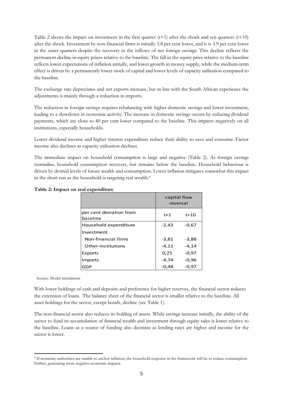[Table 2](#page-6-0) shows the impact on investment in the first quarter  $(t+1)$  after the shock and ten quarters  $(t+10)$ after the shock. Investment by non-financial firms is initially 3.8 per cent lower, and it is 3.9 per cent lower in the outer quarters despite the recovery in the inflows of net foreign savings. This decline reflects the permanent decline in equity prices relative to the baseline. The fall in the equity price relative to the baseline reflects lower expectations of inflation initially, and lower growth in money supply, while the medium-term effect is driven by a permanently lower stock of capital and lower levels of capacity utilisation compared to the baseline.

The exchange rate depreciates and net exports increase, but in line with the South African experience the adjustments is mainly through a reduction in imports.

The reduction in foreign savings requires rebalancing with higher domestic savings and lower investment, leading to a slowdown in economic activity. The increase in domestic savings occurs by reducing dividend payments, which are close to 40 per cent lower compared to the baseline. This impacts negatively on all institutions, especially households.

Lower dividend income and higher interest expenditure reduce their ability to save and consume. Factor income also declines as capacity utilisation declines.

The immediate impact on household consumption is large and negative [\(Table 2\)](#page-6-0). As foreign savings normalise, household consumption recovers, but remains below the baseline. Household behaviour is driven by desired levels of future wealth and consumption. Lower inflation mitigates somewhat this impact in the short run as the household is targeting real wealth.<sup>9</sup>

|                                     | capital flow<br>reversal |         |
|-------------------------------------|--------------------------|---------|
| per cent deviation from<br>baseline | $t+1$                    | t+10    |
| Household expenditure               | $-2,43$                  | $-0.67$ |
| Investment                          |                          |         |
| Non-financial firms                 | $-3,81$                  | $-3,88$ |
| Other-institutions                  | $-4, 11$                 | -4,14   |
| Exports                             | 0,25                     | $-0.97$ |
| <b>Imports</b>                      | $-4,74$                  | $-0.96$ |
| GDP                                 | $-0,48$                  | $-0,97$ |

## <span id="page-6-0"></span>**Table 2: Impact on real expenditure**

Source: Model simulations

1

With lower holdings of cash and deposits and preference for higher reserves, the financial sector reduces the extension of loans. The balance sheet of the financial sector is smaller relative to the baseline. All asset holdings for the sector, except bonds, decline (see Table 1).

The non-financial sector also reduces its holding of assets. While savings increase initially, the ability of the sector to fund its accumulation of financial wealth and investment through equity sales is lower relative to the baseline. Loans as a source of funding also decrease as lending rates are higher and income for the sector is lower.

<sup>9</sup> If monetary authorities are unable to anchor inflation, the household response in the framework will be to reduce consumption further, generating more negative economic impacts.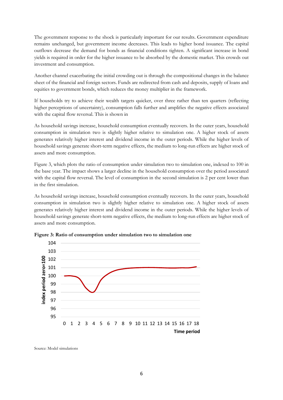The government response to the shock is particularly important for our results. Government expenditure remains unchanged, but government income decreases. This leads to higher bond issuance. The capital outflows decrease the demand for bonds as financial conditions tighten. A significant increase in bond yields is required in order for the higher issuance to be absorbed by the domestic market. This crowds out investment and consumption.

Another channel exacerbating the initial crowding out is through the compositional changes in the balance sheet of the financial and foreign sectors. Funds are redirected from cash and deposits, supply of loans and equities to government bonds, which reduces the money multiplier in the framework.

If households try to achieve their wealth targets quicker, over three rather than ten quarters (reflecting higher perceptions of uncertainty), consumption falls further and amplifies the negative effects associated with the capital flow reversal. This is shown in

As [household savings increase, household consumption eventually recovers. In the outer years, household](#page-7-0)  [consumption in simulation two is slightly higher relative to simulation one. A higher stock of assets](#page-7-0)  [generates relatively higher interest and dividend income in the outer periods. While the higher levels of](#page-7-0)  [household savings generate short-term negative effects, the medium to long-run effects are higher stock of](#page-7-0)  [assets and more consumption.](#page-7-0) 

[Figure 3,](#page-7-0) which plots the ratio of consumption under simulation two to simulation one, indexed to 100 in the base year. The impact shows a larger decline in the household consumption over the period associated with the capital flow reversal. The level of consumption in the second simulation is 2 per cent lower than in the first simulation.

<span id="page-7-0"></span>As household savings increase, household consumption eventually recovers. In the outer years, household consumption in simulation two is slightly higher relative to simulation one. A higher stock of assets generates relatively higher interest and dividend income in the outer periods. While the higher levels of household savings generate short-term negative effects, the medium to long-run effects are higher stock of assets and more consumption.



**Figure 3: Ratio of consumption under simulation two to simulation one**

Source: Model simulations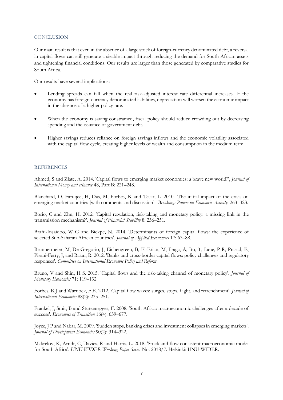## **CONCLUSION**

Our main result is that even in the absence of a large stock of foreign-currency denominated debt, a reversal in capital flows can still generate a sizable impact through reducing the demand for South African assets and tightening financial conditions. Our results are larger than those generated by comparative studies for South Africa.

Our results have several implications:

- Lending spreads can fall when the real risk-adjusted interest rate differential increases. If the economy has foreign-currency denominated liabilities, depreciation will worsen the economic impact in the absence of a higher policy rate.
- When the economy is saving constrained, fiscal policy should reduce crowding out by decreasing spending and the issuance of government debt.
- Higher savings reduces reliance on foreign savings inflows and the economic volatility associated with the capital flow cycle, creating higher levels of wealth and consumption in the medium term.

## **REFERENCES**

Ahmed, S and Zlate, A. 2014. 'Capital flows to emerging market economies: a brave new world?', *Journal of International Money and Finance* 48, Part B: 221–248.

Blanchard, O, Faruqee, H, Das, M, Forbes, K and Tesar, L. 2010. 'The initial impact of the crisis on emerging market countries [with comments and discussion]'. *Brookings Papers on Economic Activity*: 263–323.

Borio, C and Zhu, H. 2012. 'Capital regulation, risk-taking and monetary policy: a missing link in the transmission mechanism?'. *Journal of Financial Stability* 8: 236–251.

Brafu-Insaidoo, W G and Biekpe, N. 2014. 'Determinants of foreign capital flows: the experience of selected Sub-Saharan African countries'. *Journal of Applied Economics* 17: 63–88.

Brunnermeier, M, De Gregorio, J, Eichengreen, B, El-Erian, M, Fraga, A, Ito, T, Lane, P R, Prasad, E, Pisani-Ferry, J, and Rajan, R. 2012. 'Banks and cross-border capital flows: policy challenges and regulatory responses'. *Committee on International Economic Policy and Reform*.

Bruno, V and Shin, H S. 2015. 'Capital flows and the risk-taking channel of monetary policy'. *Journal of Monetary Economics* 71: 119–132.

Forbes, K J and Warnock, F E. 2012. 'Capital flow waves: surges, stops, flight, and retrenchment'. *Journal of International Economics* 88(2): 235–251.

Frankel, J, Smit, B and Sturzenegger, F. 2008. 'South Africa: macroeconomic challenges after a decade of success'. *Economics of Transition* 16(4): 639–677.

Joyce, J P and Nabar, M. 2009. 'Sudden stops, banking crises and investment collapses in emerging markets'. *Journal of Development Economics* 90(2): 314–322.

Makrelov, K, Arndt, C, Davies, R and Harris, L. 2018. 'Stock and flow consistent macroeconomic model for South Africa'. *UNU-WIDER Working Paper Series* No. 2018/7. Helsinki: UNU-WIDER.